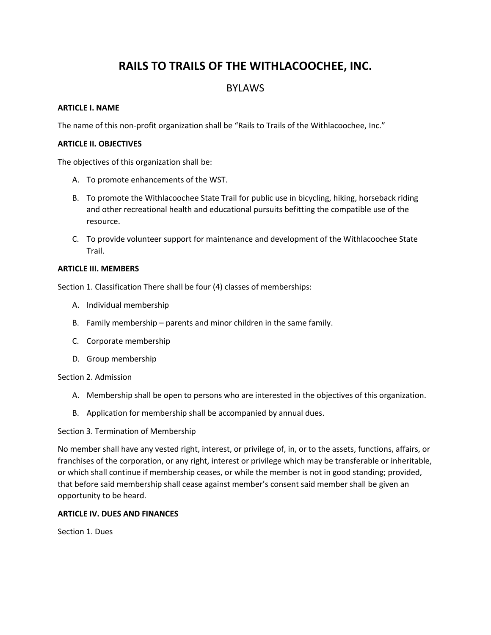# **RAILS TO TRAILS OF THE WITHLACOOCHEE, INC.**

# BYLAWS

#### **ARTICLE I. NAME**

The name of this non-profit organization shall be "Rails to Trails of the Withlacoochee, Inc."

#### **ARTICLE II. OBJECTIVES**

The objectives of this organization shall be:

- A. To promote enhancements of the WST.
- B. To promote the Withlacoochee State Trail for public use in bicycling, hiking, horseback riding and other recreational health and educational pursuits befitting the compatible use of the resource.
- C. To provide volunteer support for maintenance and development of the Withlacoochee State Trail.

### **ARTICLE III. MEMBERS**

Section 1. Classification There shall be four (4) classes of memberships:

- A. Individual membership
- B. Family membership parents and minor children in the same family.
- C. Corporate membership
- D. Group membership

#### Section 2. Admission

- A. Membership shall be open to persons who are interested in the objectives of this organization.
- B. Application for membership shall be accompanied by annual dues.

#### Section 3. Termination of Membership

No member shall have any vested right, interest, or privilege of, in, or to the assets, functions, affairs, or franchises of the corporation, or any right, interest or privilege which may be transferable or inheritable, or which shall continue if membership ceases, or while the member is not in good standing; provided, that before said membership shall cease against member's consent said member shall be given an opportunity to be heard.

#### **ARTICLE IV. DUES AND FINANCES**

Section 1. Dues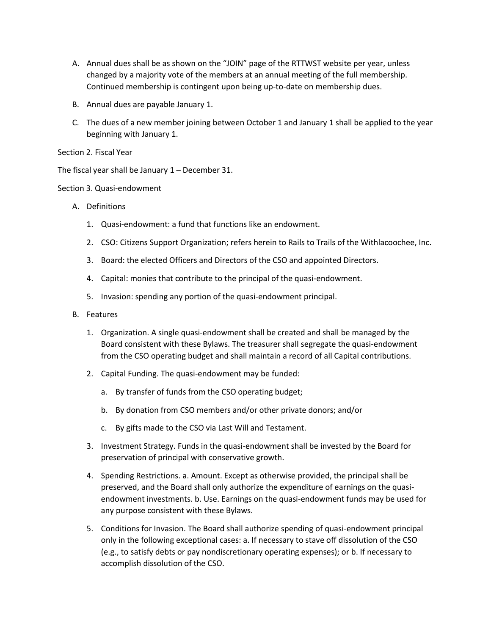- A. Annual dues shall be as shown on the "JOIN" page of the RTTWST website per year, unless changed by a majority vote of the members at an annual meeting of the full membership. Continued membership is contingent upon being up-to-date on membership dues.
- B. Annual dues are payable January 1.
- C. The dues of a new member joining between October 1 and January 1 shall be applied to the year beginning with January 1.
- Section 2. Fiscal Year

The fiscal year shall be January 1 – December 31.

#### Section 3. Quasi-endowment

- A. Definitions
	- 1. Quasi-endowment: a fund that functions like an endowment.
	- 2. CSO: Citizens Support Organization; refers herein to Rails to Trails of the Withlacoochee, Inc.
	- 3. Board: the elected Officers and Directors of the CSO and appointed Directors.
	- 4. Capital: monies that contribute to the principal of the quasi-endowment.
	- 5. Invasion: spending any portion of the quasi-endowment principal.
- B. Features
	- 1. Organization. A single quasi-endowment shall be created and shall be managed by the Board consistent with these Bylaws. The treasurer shall segregate the quasi-endowment from the CSO operating budget and shall maintain a record of all Capital contributions.
	- 2. Capital Funding. The quasi-endowment may be funded:
		- a. By transfer of funds from the CSO operating budget;
		- b. By donation from CSO members and/or other private donors; and/or
		- c. By gifts made to the CSO via Last Will and Testament.
	- 3. Investment Strategy. Funds in the quasi-endowment shall be invested by the Board for preservation of principal with conservative growth.
	- 4. Spending Restrictions. a. Amount. Except as otherwise provided, the principal shall be preserved, and the Board shall only authorize the expenditure of earnings on the quasiendowment investments. b. Use. Earnings on the quasi-endowment funds may be used for any purpose consistent with these Bylaws.
	- 5. Conditions for Invasion. The Board shall authorize spending of quasi-endowment principal only in the following exceptional cases: a. If necessary to stave off dissolution of the CSO (e.g., to satisfy debts or pay nondiscretionary operating expenses); or b. If necessary to accomplish dissolution of the CSO.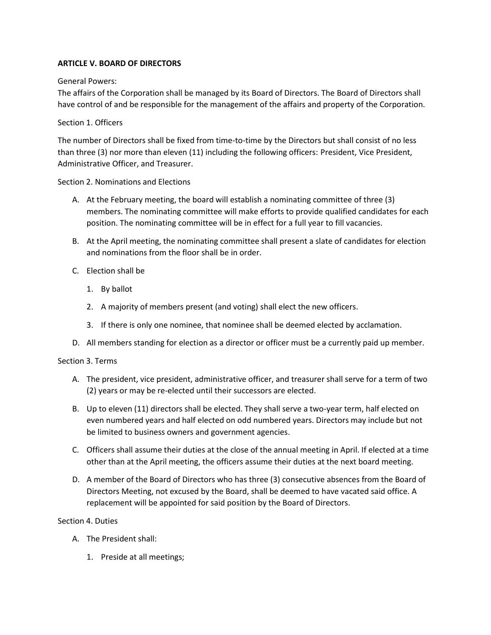### **ARTICLE V. BOARD OF DIRECTORS**

#### General Powers:

The affairs of the Corporation shall be managed by its Board of Directors. The Board of Directors shall have control of and be responsible for the management of the affairs and property of the Corporation.

### Section 1. Officers

The number of Directors shall be fixed from time-to-time by the Directors but shall consist of no less than three (3) nor more than eleven (11) including the following officers: President, Vice President, Administrative Officer, and Treasurer.

### Section 2. Nominations and Elections

- A. At the February meeting, the board will establish a nominating committee of three (3) members. The nominating committee will make efforts to provide qualified candidates for each position. The nominating committee will be in effect for a full year to fill vacancies.
- B. At the April meeting, the nominating committee shall present a slate of candidates for election and nominations from the floor shall be in order.
- C. Election shall be
	- 1. By ballot
	- 2. A majority of members present (and voting) shall elect the new officers.
	- 3. If there is only one nominee, that nominee shall be deemed elected by acclamation.
- D. All members standing for election as a director or officer must be a currently paid up member.

#### Section 3. Terms

- A. The president, vice president, administrative officer, and treasurer shall serve for a term of two (2) years or may be re-elected until their successors are elected.
- B. Up to eleven (11) directors shall be elected. They shall serve a two-year term, half elected on even numbered years and half elected on odd numbered years. Directors may include but not be limited to business owners and government agencies.
- C. Officers shall assume their duties at the close of the annual meeting in April. If elected at a time other than at the April meeting, the officers assume their duties at the next board meeting.
- D. A member of the Board of Directors who has three (3) consecutive absences from the Board of Directors Meeting, not excused by the Board, shall be deemed to have vacated said office. A replacement will be appointed for said position by the Board of Directors.

#### Section 4. Duties

- A. The President shall:
	- 1. Preside at all meetings;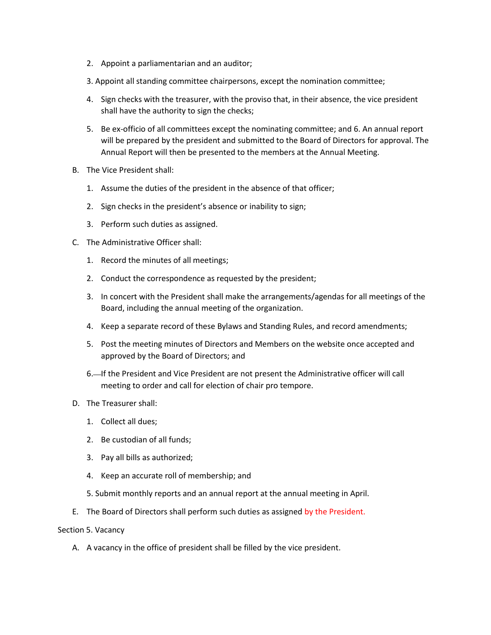- 2. Appoint a parliamentarian and an auditor;
- 3. Appoint all standing committee chairpersons, except the nomination committee;
- 4. Sign checks with the treasurer, with the proviso that, in their absence, the vice president shall have the authority to sign the checks;
- 5. Be ex-officio of all committees except the nominating committee; and 6. An annual report will be prepared by the president and submitted to the Board of Directors for approval. The Annual Report will then be presented to the members at the Annual Meeting.
- B. The Vice President shall:
	- 1. Assume the duties of the president in the absence of that officer;
	- 2. Sign checks in the president's absence or inability to sign;
	- 3. Perform such duties as assigned.
- C. The Administrative Officer shall:
	- 1. Record the minutes of all meetings;
	- 2. Conduct the correspondence as requested by the president;
	- 3. In concert with the President shall make the arrangements/agendas for all meetings of the Board, including the annual meeting of the organization.
	- 4. Keep a separate record of these Bylaws and Standing Rules, and record amendments;
	- 5. Post the meeting minutes of Directors and Members on the website once accepted and approved by the Board of Directors; and
	- 6.—If the President and Vice President are not present the Administrative officer will call meeting to order and call for election of chair pro tempore.
- D. The Treasurer shall:
	- 1. Collect all dues;
	- 2. Be custodian of all funds;
	- 3. Pay all bills as authorized;
	- 4. Keep an accurate roll of membership; and
	- 5. Submit monthly reports and an annual report at the annual meeting in April.
- E. The Board of Directors shall perform such duties as assigned by the President.

#### Section 5. Vacancy

A. A vacancy in the office of president shall be filled by the vice president.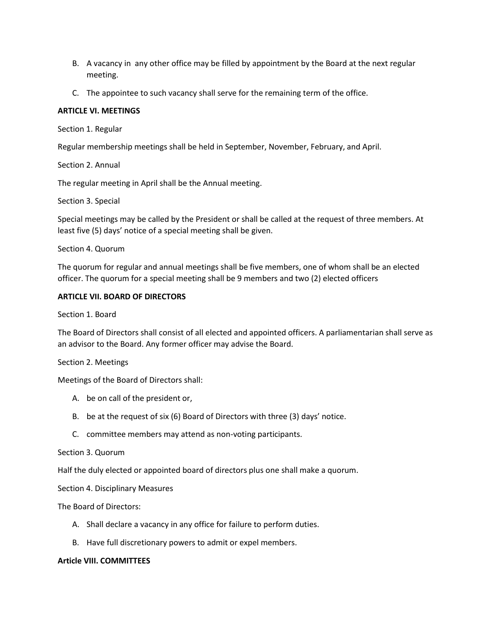- B. A vacancy in any other office may be filled by appointment by the Board at the next regular meeting.
- C. The appointee to such vacancy shall serve for the remaining term of the office.

#### **ARTICLE VI. MEETINGS**

Section 1. Regular

Regular membership meetings shall be held in September, November, February, and April.

### Section 2. Annual

The regular meeting in April shall be the Annual meeting.

Section 3. Special

Special meetings may be called by the President or shall be called at the request of three members. At least five (5) days' notice of a special meeting shall be given.

### Section 4. Quorum

The quorum for regular and annual meetings shall be five members, one of whom shall be an elected officer. The quorum for a special meeting shall be 9 members and two (2) elected officers

### **ARTICLE VII. BOARD OF DIRECTORS**

Section 1. Board

The Board of Directors shall consist of all elected and appointed officers. A parliamentarian shall serve as an advisor to the Board. Any former officer may advise the Board.

#### Section 2. Meetings

Meetings of the Board of Directors shall:

- A. be on call of the president or,
- B. be at the request of six (6) Board of Directors with three (3) days' notice.
- C. committee members may attend as non-voting participants.

#### Section 3. Quorum

Half the duly elected or appointed board of directors plus one shall make a quorum.

Section 4. Disciplinary Measures

The Board of Directors:

- A. Shall declare a vacancy in any office for failure to perform duties.
- B. Have full discretionary powers to admit or expel members.

#### **Article VIII. COMMITTEES**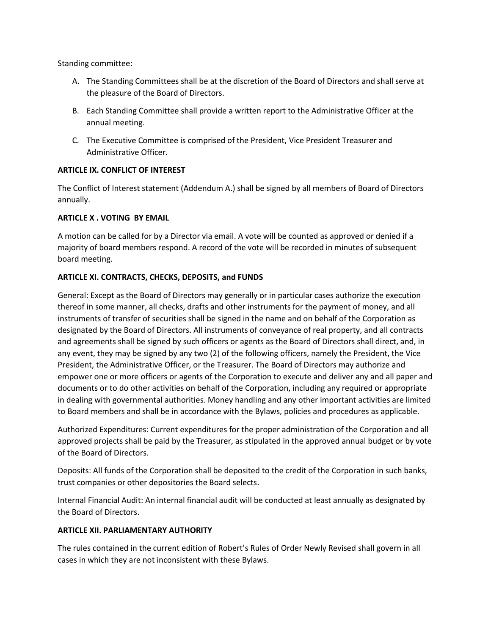Standing committee:

- A. The Standing Committees shall be at the discretion of the Board of Directors and shall serve at the pleasure of the Board of Directors.
- B. Each Standing Committee shall provide a written report to the Administrative Officer at the annual meeting.
- C. The Executive Committee is comprised of the President, Vice President Treasurer and Administrative Officer.

# **ARTICLE IX. CONFLICT OF INTEREST**

The Conflict of Interest statement (Addendum A.) shall be signed by all members of Board of Directors annually.

### **ARTICLE X . VOTING BY EMAIL**

A motion can be called for by a Director via email. A vote will be counted as approved or denied if a majority of board members respond. A record of the vote will be recorded in minutes of subsequent board meeting.

# **ARTICLE XI. CONTRACTS, CHECKS, DEPOSITS, and FUNDS**

General: Except as the Board of Directors may generally or in particular cases authorize the execution thereof in some manner, all checks, drafts and other instruments for the payment of money, and all instruments of transfer of securities shall be signed in the name and on behalf of the Corporation as designated by the Board of Directors. All instruments of conveyance of real property, and all contracts and agreements shall be signed by such officers or agents as the Board of Directors shall direct, and, in any event, they may be signed by any two (2) of the following officers, namely the President, the Vice President, the Administrative Officer, or the Treasurer. The Board of Directors may authorize and empower one or more officers or agents of the Corporation to execute and deliver any and all paper and documents or to do other activities on behalf of the Corporation, including any required or appropriate in dealing with governmental authorities. Money handling and any other important activities are limited to Board members and shall be in accordance with the Bylaws, policies and procedures as applicable.

Authorized Expenditures: Current expenditures for the proper administration of the Corporation and all approved projects shall be paid by the Treasurer, as stipulated in the approved annual budget or by vote of the Board of Directors.

Deposits: All funds of the Corporation shall be deposited to the credit of the Corporation in such banks, trust companies or other depositories the Board selects.

Internal Financial Audit: An internal financial audit will be conducted at least annually as designated by the Board of Directors.

#### **ARTICLE XII. PARLIAMENTARY AUTHORITY**

The rules contained in the current edition of Robert's Rules of Order Newly Revised shall govern in all cases in which they are not inconsistent with these Bylaws.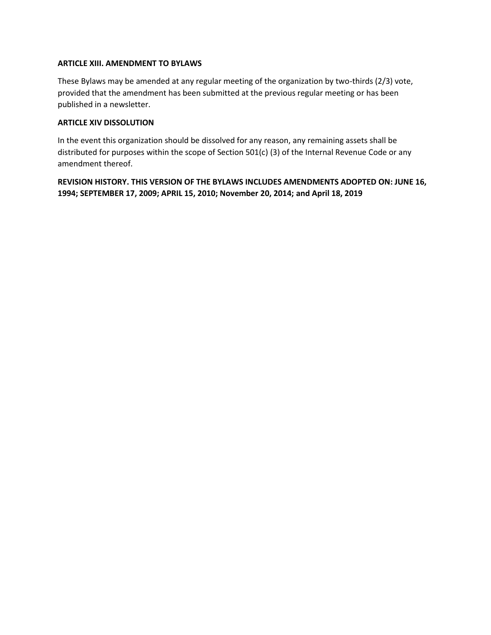#### **ARTICLE XIII. AMENDMENT TO BYLAWS**

These Bylaws may be amended at any regular meeting of the organization by two-thirds (2/3) vote, provided that the amendment has been submitted at the previous regular meeting or has been published in a newsletter.

#### **ARTICLE XIV DISSOLUTION**

In the event this organization should be dissolved for any reason, any remaining assets shall be distributed for purposes within the scope of Section 501(c) (3) of the Internal Revenue Code or any amendment thereof.

**REVISION HISTORY. THIS VERSION OF THE BYLAWS INCLUDES AMENDMENTS ADOPTED ON: JUNE 16, 1994; SEPTEMBER 17, 2009; APRIL 15, 2010; November 20, 2014; and April 18, 2019**